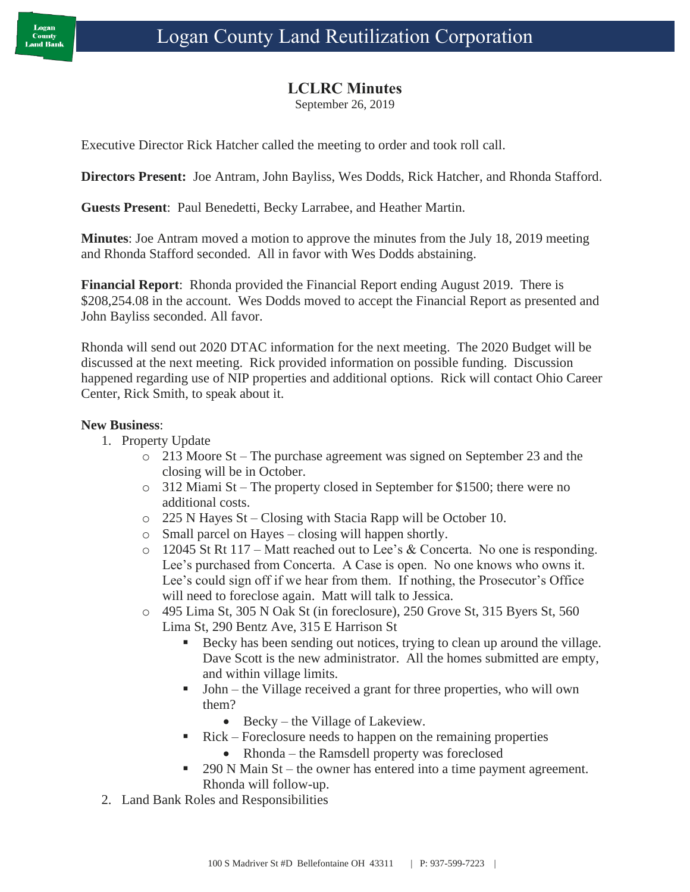## **LCLRC Minutes**

September 26, 2019

Executive Director Rick Hatcher called the meeting to order and took roll call.

**Directors Present:** Joe Antram, John Bayliss, Wes Dodds, Rick Hatcher, and Rhonda Stafford.

**Guests Present**: Paul Benedetti, Becky Larrabee, and Heather Martin.

**Minutes**: Joe Antram moved a motion to approve the minutes from the July 18, 2019 meeting and Rhonda Stafford seconded. All in favor with Wes Dodds abstaining.

**Financial Report**: Rhonda provided the Financial Report ending August 2019. There is \$208,254.08 in the account. Wes Dodds moved to accept the Financial Report as presented and John Bayliss seconded. All favor.

Rhonda will send out 2020 DTAC information for the next meeting. The 2020 Budget will be discussed at the next meeting. Rick provided information on possible funding. Discussion happened regarding use of NIP properties and additional options. Rick will contact Ohio Career Center, Rick Smith, to speak about it.

## **New Business**:

- 1. Property Update
	- o 213 Moore St The purchase agreement was signed on September 23 and the closing will be in October.
	- o 312 Miami St The property closed in September for \$1500; there were no additional costs.
	- o 225 N Hayes St Closing with Stacia Rapp will be October 10.
	- o Small parcel on Hayes closing will happen shortly.
	- o 12045 St Rt 117 Matt reached out to Lee's & Concerta. No one is responding. Lee's purchased from Concerta. A Case is open. No one knows who owns it. Lee's could sign off if we hear from them. If nothing, the Prosecutor's Office will need to foreclose again. Matt will talk to Jessica.
	- o 495 Lima St, 305 N Oak St (in foreclosure), 250 Grove St, 315 Byers St, 560 Lima St, 290 Bentz Ave, 315 E Harrison St
		- Becky has been sending out notices, trying to clean up around the village. Dave Scott is the new administrator. All the homes submitted are empty, and within village limits.
		- John the Village received a grant for three properties, who will own them?
			- Becky the Village of Lakeview.
		- Rick Foreclosure needs to happen on the remaining properties
			- Rhonda the Ramsdell property was foreclosed
		- $290$  N Main St the owner has entered into a time payment agreement. Rhonda will follow-up.
- 2. Land Bank Roles and Responsibilities